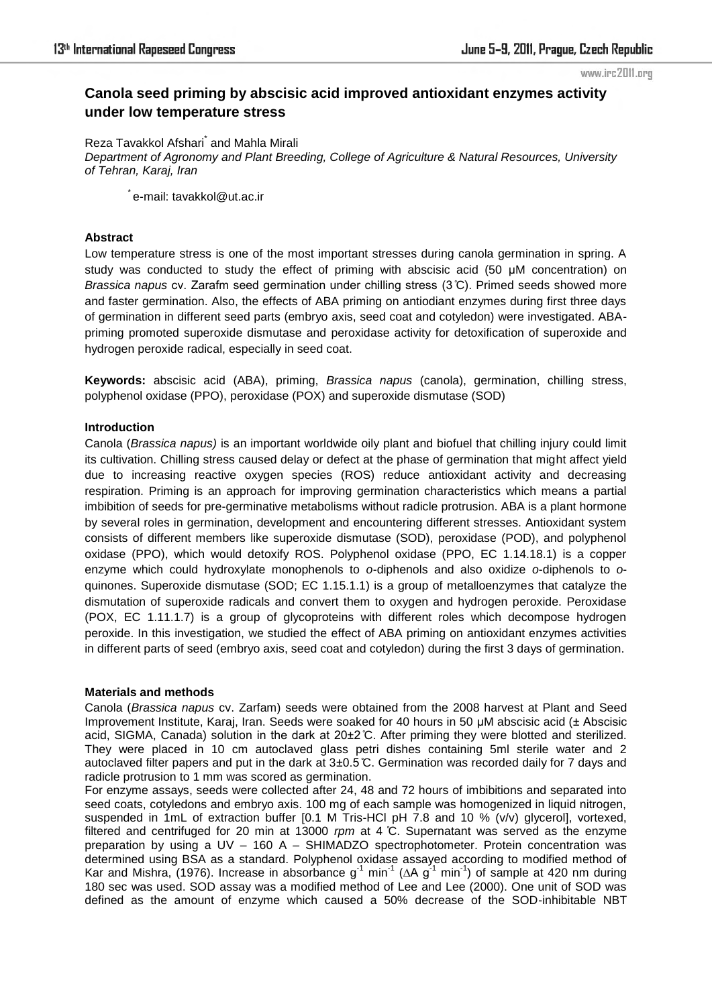#### www.irc2011.org

# **Canola seed priming by abscisic acid improved antioxidant enzymes activity under low temperature stress**

Reza Tavakkol Afshari<sup>\*</sup> and Mahla Mirali *Department of Agronomy and Plant Breeding, College of Agriculture & Natural Resources, University of Tehran, Karaj, Iran* 

\* e-mail: tavakkol@ut.ac.ir

# **Abstract**

Low temperature stress is one of the most important stresses during canola germination in spring. A study was conducted to study the effect of priming with abscisic acid (50 µM concentration) on *Brassica napus* cv. Zarafm seed germination under chilling stress (3 C). Primed seeds showed more and faster germination. Also, the effects of ABA priming on antiodiant enzymes during first three days of germination in different seed parts (embryo axis, seed coat and cotyledon) were investigated. ABApriming promoted superoxide dismutase and peroxidase activity for detoxification of superoxide and hydrogen peroxide radical, especially in seed coat.

**Keywords:** abscisic acid (ABA), priming, *Brassica napus* (canola), germination, chilling stress, polyphenol oxidase (PPO), peroxidase (POX) and superoxide dismutase (SOD)

# **Introduction**

Canola (*Brassica napus)* is an important worldwide oily plant and biofuel that chilling injury could limit its cultivation. Chilling stress caused delay or defect at the phase of germination that might affect yield due to increasing reactive oxygen species (ROS) reduce antioxidant activity and decreasing respiration. Priming is an approach for improving germination characteristics which means a partial imbibition of seeds for pre-germinative metabolisms without radicle protrusion. ABA is a plant hormone by several roles in germination, development and encountering different stresses. Antioxidant system consists of different members like superoxide dismutase (SOD), peroxidase (POD), and polyphenol oxidase (PPO), which would detoxify ROS. Polyphenol oxidase (PPO, EC 1.14.18.1) is a copper enzyme which could hydroxylate monophenols to *o*-diphenols and also oxidize *o*-diphenols to *o*quinones. Superoxide dismutase (SOD; EC 1.15.1.1) is a group of metalloenzymes that catalyze the dismutation of superoxide radicals and convert them to oxygen and hydrogen peroxide. Peroxidase (POX, EC 1.11.1.7) is a group of glycoproteins with different roles which decompose hydrogen peroxide. In this investigation, we studied the effect of ABA priming on antioxidant enzymes activities in different parts of seed (embryo axis, seed coat and cotyledon) during the first 3 days of germination.

# **Materials and methods**

Canola (*Brassica napus* cv. Zarfam) seeds were obtained from the 2008 harvest at Plant and Seed Improvement Institute, Karaj, Iran. Seeds were soaked for 40 hours in 50 µM abscisic acid (± Abscisic acid, SIGMA, Canada) solution in the dark at 20±2 C. After priming they were blotted and sterilized. They were placed in 10 cm autoclaved glass petri dishes containing 5ml sterile water and 2 autoclaved filter papers and put in the dark at 3±0.5 C. Germination was recorded daily for 7 days and radicle protrusion to 1 mm was scored as germination.

For enzyme assays, seeds were collected after 24, 48 and 72 hours of imbibitions and separated into seed coats, cotyledons and embryo axis. 100 mg of each sample was homogenized in liquid nitrogen, suspended in 1mL of extraction buffer [0.1 M Tris-HCl pH 7.8 and 10 % (v/v) glyceroll, vortexed, filtered and centrifuged for 20 min at 13000 *rpm* at 4 C. Supernatant was served as the enzyme preparation by using a UV – 160 A – SHIMADZO spectrophotometer. Protein concentration was determined using BSA as a standard. Polyphenol oxidase assayed according to modified method of Kar and Mishra, (1976). Increase in absorbance g<sup>-1</sup> min<sup>-1</sup> ( $\Delta A$  g<sup>-1</sup> min<sup>-1</sup>) of sample at 420 nm during 180 sec was used. SOD assay was a modified method of Lee and Lee (2000). One unit of SOD was defined as the amount of enzyme which caused a 50% decrease of the SOD-inhibitable NBT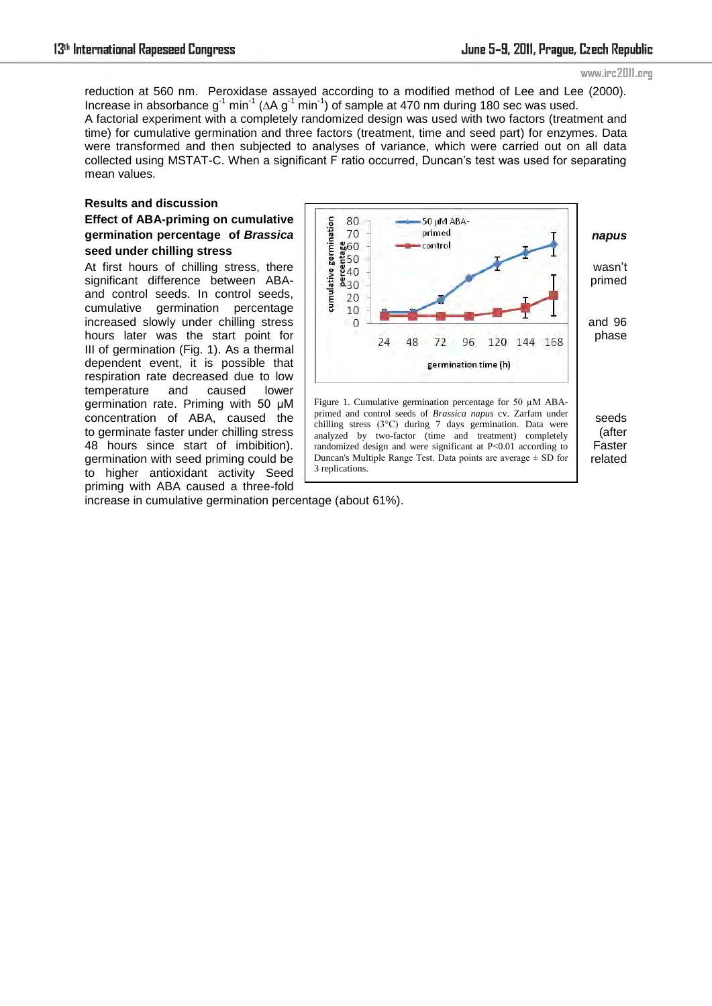#### www.irc2011.org

reduction at 560 nm. Peroxidase assayed according to a modified method of Lee and Lee (2000). Increase in absorbance g<sup>-1</sup> min<sup>-1</sup> ( $\Delta$ A g<sup>-1</sup> min<sup>-1</sup>) of sample at 470 nm during 180 sec was used. A factorial experiment with a completely randomized design was used with two factors (treatment and time) for cumulative germination and three factors (treatment, time and seed part) for enzymes. Data were transformed and then subjected to analyses of variance, which were carried out on all data collected using MSTAT-C. When a significant F ratio occurred, Duncan's test was used for separating mean values.

3 replications.

# **Results and discussion Effect of ABA-priming on cumulative seed under chilling stress**

48 hours since start of imbibition).  $\vert$  randomized design and were significant at P<0.01 according to  $\vert$  Faster germination with seed priming could be  $\Box$  Duncan's Multiple Range Test. Data points are average  $\pm$  SD for  $\Box$  related and control seeds. In control seeds, cumulative germination percentage III of germination (Fig. 1). As a thermal dependent event, it is possible that respiration rate decreased due to low temperature and caused lower germination rate. Priming with 50 µM to higher antioxidant activity Seed priming with ABA caused a three-fold



increase in cumulative germination percentage (about 61%).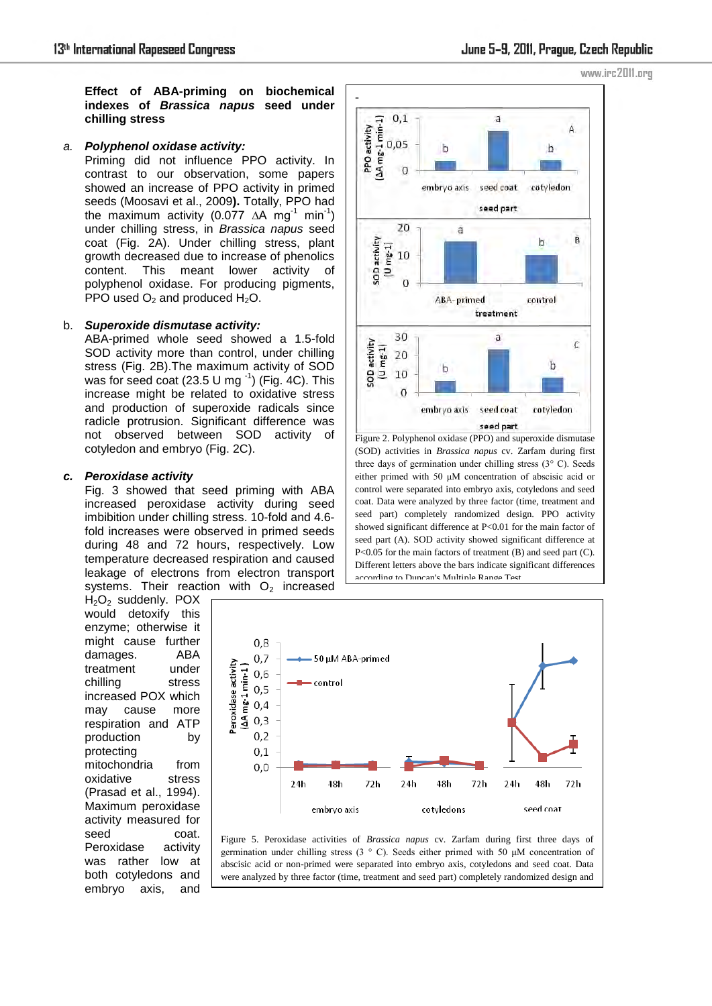**Effect of ABA-priming on biochemical indexes of** *Brassica napus* **seed under chilling stress** 

#### *a. Polyphenol oxidase activity:*

Priming did not influence PPO activity. In contrast to our observation, some papers showed an increase of PPO activity in primed seeds (Moosavi et al., 2009**).** Totally, PPO had the maximum activity (0.077 ∆A mg<sup>-1</sup> min<sup>-1</sup>) under chilling stress, in *Brassica napus* seed coat (Fig. 2A). Under chilling stress, plant growth decreased due to increase of phenolics content. This meant lower activity of polyphenol oxidase. For producing pigments, PPO used  $O<sub>2</sub>$  and produced  $H<sub>2</sub>O$ .

#### b. *Superoxide dismutase activity:*

ABA-primed whole seed showed a 1.5-fold SOD activity more than control, under chilling stress (Fig. 2B).The maximum activity of SOD was for seed coat (23.5 U mg $^{-1}$ ) (Fig. 4C). This increase might be related to oxidative stress and production of superoxide radicals since radicle protrusion. Significant difference was not observed between SOD activity of cotyledon and embryo (Fig. 2C).

### *c. Peroxidase activity*

Fig. 3 showed that seed priming with ABA increased peroxidase activity during seed imbibition under chilling stress. 10-fold and 4.6 fold increases were observed in primed seeds during 48 and 72 hours, respectively. Low temperature decreased respiration and caused leakage of electrons from electron transport systems. Their reaction with  $O<sub>2</sub>$  increased

H<sub>2</sub>O<sub>2</sub> suddenly, POX would detoxify this enzyme; otherwise it might cause further damages. ABA treatment under chilling stress increased POX which may cause more respiration and ATP production by protecting mitochondria from oxidative stress (Prasad et al., 1994). Maximum peroxidase activity measured for seed coat. Peroxidase activity was rather low at both cotyledons and embryo axis, and





Figure 2. Polyphenol oxidase (PPO) and superoxide dismutase (SOD) activities in *Brassica napus* cv. Zarfam during first three days of germination under chilling stress (3° C). Seeds either primed with 50 μM concentration of abscisic acid or control were separated into embryo axis, cotyledons and seed coat. Data were analyzed by three factor (time, treatment and seed part) completely randomized design. PPO activity showed significant difference at P<0.01 for the main factor of seed part (A). SOD activity showed significant difference at P<0.05 for the main factors of treatment (B) and seed part (C). Different letters above the bars indicate significant differences according to Duncan's Multiple Range Test.



Figure 5. Peroxidase activities of *Brassica napus* cv. Zarfam during first three days of germination under chilling stress (3 ° C). Seeds either primed with 50 μM concentration of abscisic acid or non-primed were separated into embryo axis, cotyledons and seed coat. Data were analyzed by three factor (time, treatment and seed part) completely randomized design and

triplet interaction was significant at P<0.01 according to Duncan's Multiple Range Test. Data

www.irc2011.org